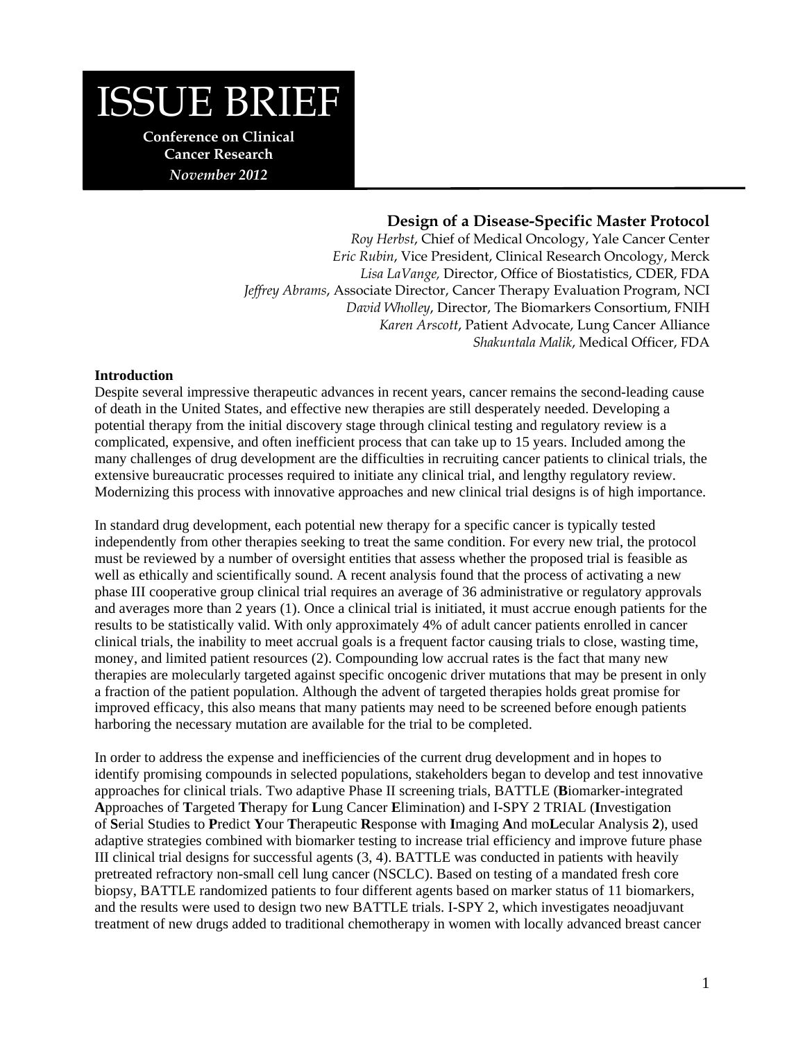# ISSUE BRIEF

**Conference on Clinical Cancer Research**  *November 2012* 

# **Design of a Disease-Specific Master Protocol**

*Roy Herbst*, Chief of Medical Oncology, Yale Cancer Center *Eric Rubin*, Vice President, Clinical Research Oncology, Merck *Lisa LaVange,* Director, Office of Biostatistics, CDER, FDA *Jeffrey Abrams*, Associate Director, Cancer Therapy Evaluation Program, NCI *David Wholley*, Director, The Biomarkers Consortium, FNIH *Karen Arscott*, Patient Advocate, Lung Cancer Alliance *Shakuntala Malik*, Medical Officer, FDA

#### **Introduction**

Despite several impressive therapeutic advances in recent years, cancer remains the second-leading cause of death in the United States, and effective new therapies are still desperately needed. Developing a potential therapy from the initial discovery stage through clinical testing and regulatory review is a complicated, expensive, and often inefficient process that can take up to 15 years. Included among the many challenges of drug development are the difficulties in recruiting cancer patients to clinical trials, the extensive bureaucratic processes required to initiate any clinical trial, and lengthy regulatory review. Modernizing this process with innovative approaches and new clinical trial designs is of high importance.

In standard drug development, each potential new therapy for a specific cancer is typically tested independently from other therapies seeking to treat the same condition. For every new trial, the protocol must be reviewed by a number of oversight entities that assess whether the proposed trial is feasible as well as ethically and scientifically sound. A recent analysis found that the process of activating a new phase III cooperative group clinical trial requires an average of 36 administrative or regulatory approvals and averages more than 2 years (1). Once a clinical trial is initiated, it must accrue enough patients for the results to be statistically valid. With only approximately 4% of adult cancer patients enrolled in cancer clinical trials, the inability to meet accrual goals is a frequent factor causing trials to close, wasting time, money, and limited patient resources (2). Compounding low accrual rates is the fact that many new therapies are molecularly targeted against specific oncogenic driver mutations that may be present in only a fraction of the patient population. Although the advent of targeted therapies holds great promise for improved efficacy, this also means that many patients may need to be screened before enough patients harboring the necessary mutation are available for the trial to be completed.

In order to address the expense and inefficiencies of the current drug development and in hopes to identify promising compounds in selected populations, stakeholders began to develop and test innovative approaches for clinical trials. Two adaptive Phase II screening trials, BATTLE (**B**iomarker-integrated **A**pproaches of **T**argeted **T**herapy for **L**ung Cancer **E**limination) and I-SPY 2 TRIAL (**I**nvestigation of **S**erial Studies to **P**redict **Y**our **T**herapeutic **R**esponse with **I**maging **A**nd mo**L**ecular Analysis **2**), used adaptive strategies combined with biomarker testing to increase trial efficiency and improve future phase III clinical trial designs for successful agents (3, 4). BATTLE was conducted in patients with heavily pretreated refractory non-small cell lung cancer (NSCLC). Based on testing of a mandated fresh core biopsy, BATTLE randomized patients to four different agents based on marker status of 11 biomarkers, and the results were used to design two new BATTLE trials. I-SPY 2, which investigates neoadjuvant treatment of new drugs added to traditional chemotherapy in women with locally advanced breast cancer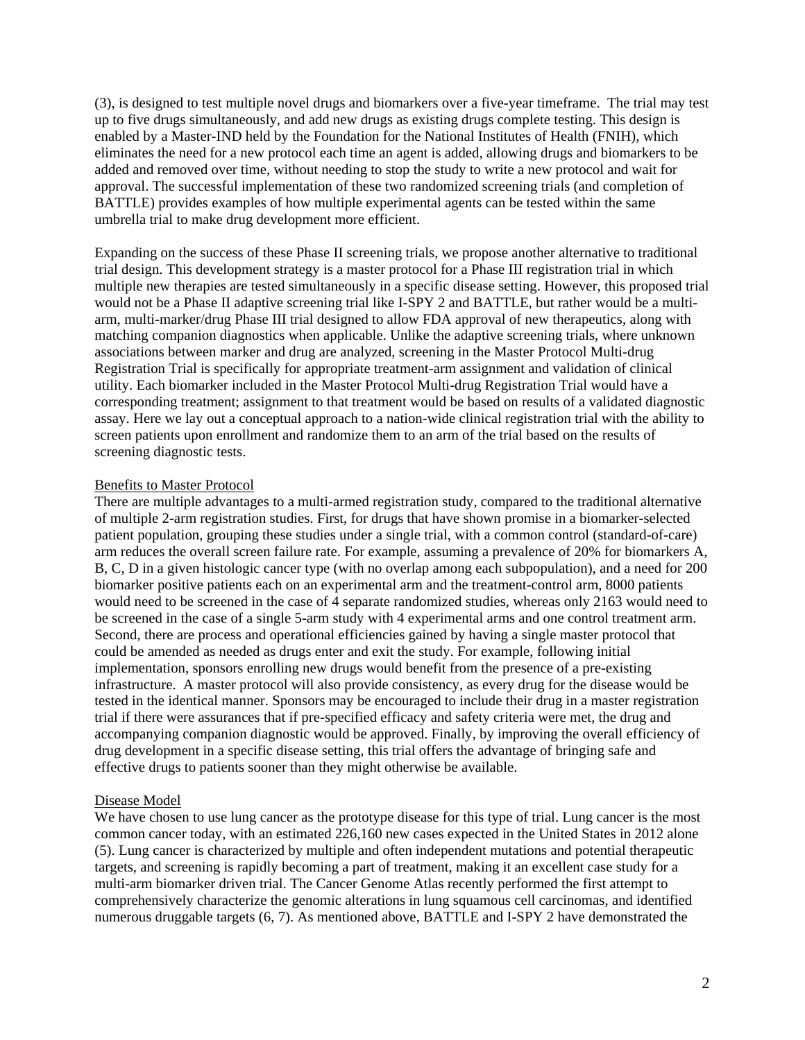(3), is designed to test multiple novel drugs and biomarkers over a five-year timeframe. The trial may test up to five drugs simultaneously, and add new drugs as existing drugs complete testing. This design is enabled by a Master-IND held by the Foundation for the National Institutes of Health (FNIH), which eliminates the need for a new protocol each time an agent is added, allowing drugs and biomarkers to be added and removed over time, without needing to stop the study to write a new protocol and wait for approval. The successful implementation of these two randomized screening trials (and completion of BATTLE) provides examples of how multiple experimental agents can be tested within the same umbrella trial to make drug development more efficient.

Expanding on the success of these Phase II screening trials, we propose another alternative to traditional trial design. This development strategy is a master protocol for a Phase III registration trial in which multiple new therapies are tested simultaneously in a specific disease setting. However, this proposed trial would not be a Phase II adaptive screening trial like I-SPY 2 and BATTLE, but rather would be a multiarm, multi-marker/drug Phase III trial designed to allow FDA approval of new therapeutics, along with matching companion diagnostics when applicable. Unlike the adaptive screening trials, where unknown associations between marker and drug are analyzed, screening in the Master Protocol Multi-drug Registration Trial is specifically for appropriate treatment-arm assignment and validation of clinical utility. Each biomarker included in the Master Protocol Multi-drug Registration Trial would have a corresponding treatment; assignment to that treatment would be based on results of a validated diagnostic assay. Here we lay out a conceptual approach to a nation-wide clinical registration trial with the ability to screen patients upon enrollment and randomize them to an arm of the trial based on the results of screening diagnostic tests.

#### Benefits to Master Protocol

There are multiple advantages to a multi-armed registration study, compared to the traditional alternative of multiple 2-arm registration studies. First, for drugs that have shown promise in a biomarker-selected patient population, grouping these studies under a single trial, with a common control (standard-of-care) arm reduces the overall screen failure rate. For example, assuming a prevalence of 20% for biomarkers A, B, C, D in a given histologic cancer type (with no overlap among each subpopulation), and a need for 200 biomarker positive patients each on an experimental arm and the treatment-control arm, 8000 patients would need to be screened in the case of 4 separate randomized studies, whereas only 2163 would need to be screened in the case of a single 5-arm study with 4 experimental arms and one control treatment arm. Second, there are process and operational efficiencies gained by having a single master protocol that could be amended as needed as drugs enter and exit the study. For example, following initial implementation, sponsors enrolling new drugs would benefit from the presence of a pre-existing infrastructure. A master protocol will also provide consistency, as every drug for the disease would be tested in the identical manner. Sponsors may be encouraged to include their drug in a master registration trial if there were assurances that if pre-specified efficacy and safety criteria were met, the drug and accompanying companion diagnostic would be approved. Finally, by improving the overall efficiency of drug development in a specific disease setting, this trial offers the advantage of bringing safe and effective drugs to patients sooner than they might otherwise be available.

## Disease Model

We have chosen to use lung cancer as the prototype disease for this type of trial. Lung cancer is the most common cancer today, with an estimated 226,160 new cases expected in the United States in 2012 alone (5). Lung cancer is characterized by multiple and often independent mutations and potential therapeutic targets, and screening is rapidly becoming a part of treatment, making it an excellent case study for a multi-arm biomarker driven trial. The Cancer Genome Atlas recently performed the first attempt to comprehensively characterize the genomic alterations in lung squamous cell carcinomas, and identified numerous druggable targets (6, 7). As mentioned above, BATTLE and I-SPY 2 have demonstrated the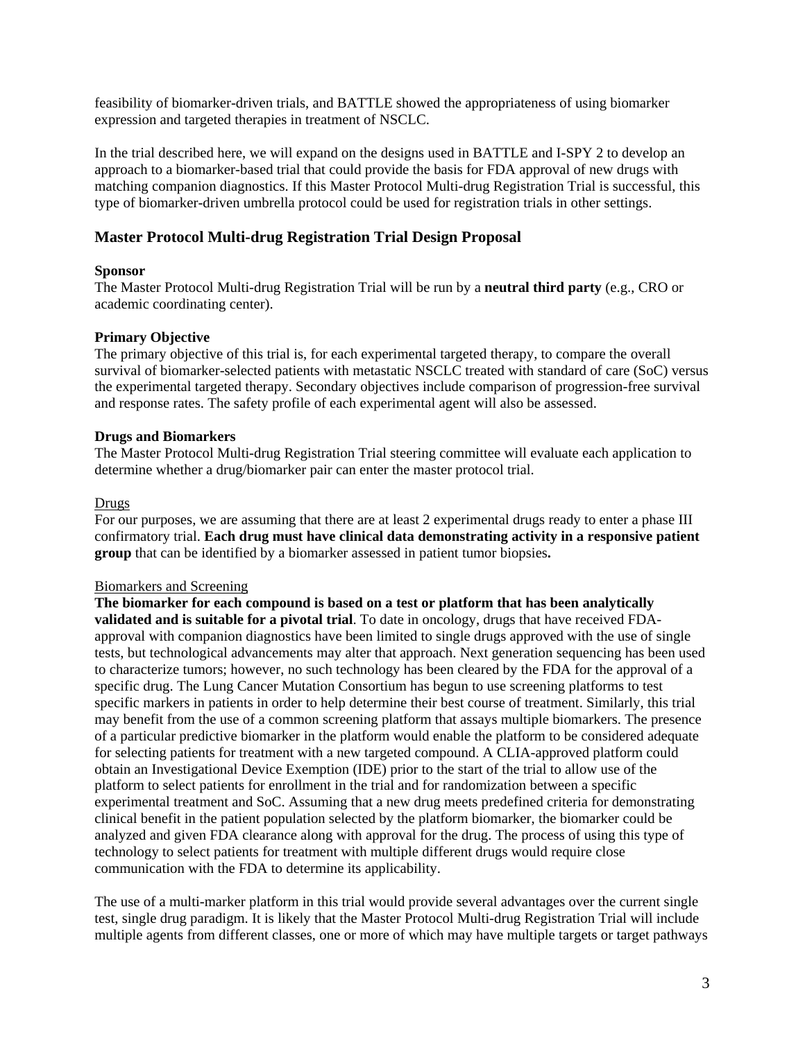feasibility of biomarker-driven trials, and BATTLE showed the appropriateness of using biomarker expression and targeted therapies in treatment of NSCLC.

In the trial described here, we will expand on the designs used in BATTLE and I-SPY 2 to develop an approach to a biomarker-based trial that could provide the basis for FDA approval of new drugs with matching companion diagnostics. If this Master Protocol Multi-drug Registration Trial is successful, this type of biomarker-driven umbrella protocol could be used for registration trials in other settings.

# **Master Protocol Multi-drug Registration Trial Design Proposal**

#### **Sponsor**

The Master Protocol Multi-drug Registration Trial will be run by a **neutral third party** (e.g., CRO or academic coordinating center).

#### **Primary Objective**

The primary objective of this trial is, for each experimental targeted therapy, to compare the overall survival of biomarker-selected patients with metastatic NSCLC treated with standard of care (SoC) versus the experimental targeted therapy. Secondary objectives include comparison of progression-free survival and response rates. The safety profile of each experimental agent will also be assessed.

#### **Drugs and Biomarkers**

The Master Protocol Multi-drug Registration Trial steering committee will evaluate each application to determine whether a drug/biomarker pair can enter the master protocol trial.

#### Drugs

For our purposes, we are assuming that there are at least 2 experimental drugs ready to enter a phase III confirmatory trial. **Each drug must have clinical data demonstrating activity in a responsive patient group** that can be identified by a biomarker assessed in patient tumor biopsies**.** 

## Biomarkers and Screening

**The biomarker for each compound is based on a test or platform that has been analytically validated and is suitable for a pivotal trial**. To date in oncology, drugs that have received FDAapproval with companion diagnostics have been limited to single drugs approved with the use of single tests, but technological advancements may alter that approach. Next generation sequencing has been used to characterize tumors; however, no such technology has been cleared by the FDA for the approval of a specific drug. The Lung Cancer Mutation Consortium has begun to use screening platforms to test specific markers in patients in order to help determine their best course of treatment. Similarly, this trial may benefit from the use of a common screening platform that assays multiple biomarkers. The presence of a particular predictive biomarker in the platform would enable the platform to be considered adequate for selecting patients for treatment with a new targeted compound. A CLIA-approved platform could obtain an Investigational Device Exemption (IDE) prior to the start of the trial to allow use of the platform to select patients for enrollment in the trial and for randomization between a specific experimental treatment and SoC. Assuming that a new drug meets predefined criteria for demonstrating clinical benefit in the patient population selected by the platform biomarker, the biomarker could be analyzed and given FDA clearance along with approval for the drug. The process of using this type of technology to select patients for treatment with multiple different drugs would require close communication with the FDA to determine its applicability.

The use of a multi-marker platform in this trial would provide several advantages over the current single test, single drug paradigm. It is likely that the Master Protocol Multi-drug Registration Trial will include multiple agents from different classes, one or more of which may have multiple targets or target pathways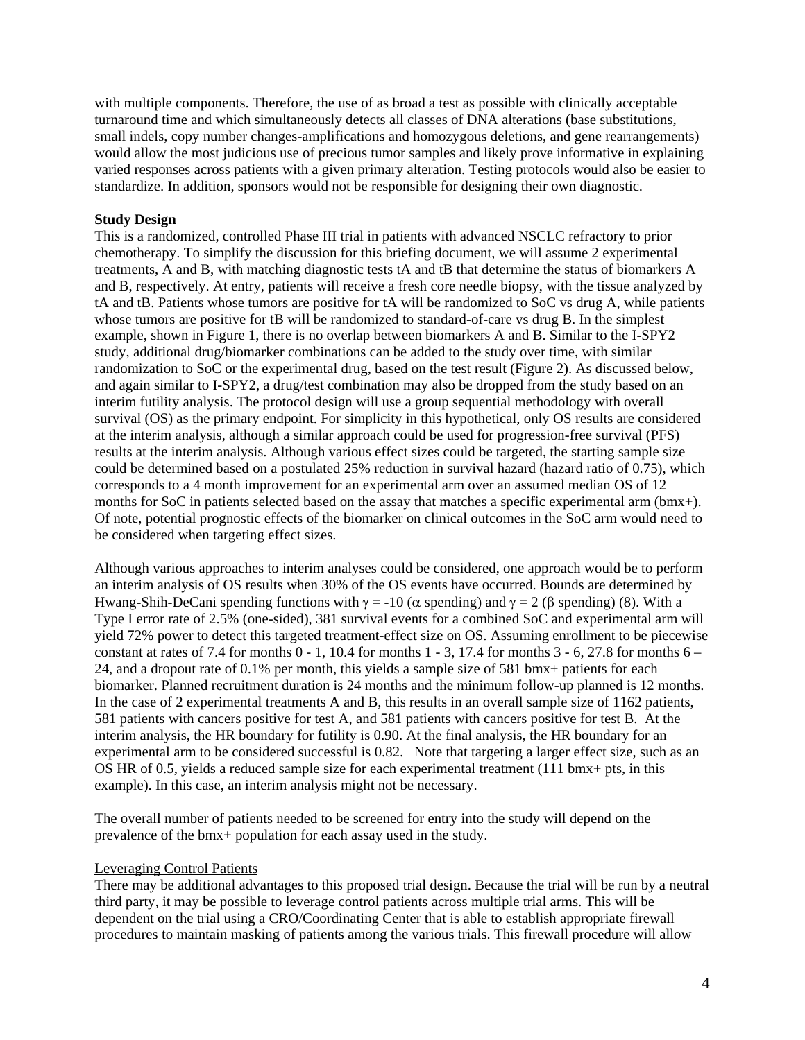with multiple components. Therefore, the use of as broad a test as possible with clinically acceptable turnaround time and which simultaneously detects all classes of DNA alterations (base substitutions, small indels, copy number changes-amplifications and homozygous deletions, and gene rearrangements) would allow the most judicious use of precious tumor samples and likely prove informative in explaining varied responses across patients with a given primary alteration. Testing protocols would also be easier to standardize. In addition, sponsors would not be responsible for designing their own diagnostic.

#### **Study Design**

This is a randomized, controlled Phase III trial in patients with advanced NSCLC refractory to prior chemotherapy. To simplify the discussion for this briefing document, we will assume 2 experimental treatments, A and B, with matching diagnostic tests tA and tB that determine the status of biomarkers A and B, respectively. At entry, patients will receive a fresh core needle biopsy, with the tissue analyzed by tA and tB. Patients whose tumors are positive for tA will be randomized to SoC vs drug A, while patients whose tumors are positive for tB will be randomized to standard-of-care vs drug B. In the simplest example, shown in Figure 1, there is no overlap between biomarkers A and B. Similar to the I-SPY2 study, additional drug/biomarker combinations can be added to the study over time, with similar randomization to SoC or the experimental drug, based on the test result (Figure 2). As discussed below, and again similar to I-SPY2, a drug/test combination may also be dropped from the study based on an interim futility analysis. The protocol design will use a group sequential methodology with overall survival (OS) as the primary endpoint. For simplicity in this hypothetical, only OS results are considered at the interim analysis, although a similar approach could be used for progression-free survival (PFS) results at the interim analysis. Although various effect sizes could be targeted, the starting sample size could be determined based on a postulated 25% reduction in survival hazard (hazard ratio of 0.75), which corresponds to a 4 month improvement for an experimental arm over an assumed median OS of 12 months for SoC in patients selected based on the assay that matches a specific experimental arm (bmx+). Of note, potential prognostic effects of the biomarker on clinical outcomes in the SoC arm would need to be considered when targeting effect sizes.

Although various approaches to interim analyses could be considered, one approach would be to perform an interim analysis of OS results when 30% of the OS events have occurred. Bounds are determined by Hwang-Shih-DeCani spending functions with  $\gamma = -10$  ( $\alpha$  spending) and  $\gamma = 2$  ( $\beta$  spending) (8). With a Type I error rate of 2.5% (one-sided), 381 survival events for a combined SoC and experimental arm will yield 72% power to detect this targeted treatment-effect size on OS. Assuming enrollment to be piecewise constant at rates of 7.4 for months  $0 - 1$ , 10.4 for months  $1 - 3$ , 17.4 for months  $3 - 6$ , 27.8 for months  $6 - 1$ 24, and a dropout rate of 0.1% per month, this yields a sample size of 581 bmx+ patients for each biomarker. Planned recruitment duration is 24 months and the minimum follow-up planned is 12 months. In the case of 2 experimental treatments A and B, this results in an overall sample size of 1162 patients, 581 patients with cancers positive for test A, and 581 patients with cancers positive for test B. At the interim analysis, the HR boundary for futility is 0.90. At the final analysis, the HR boundary for an experimental arm to be considered successful is 0.82. Note that targeting a larger effect size, such as an OS HR of 0.5, yields a reduced sample size for each experimental treatment (111 bmx+ pts, in this example). In this case, an interim analysis might not be necessary.

The overall number of patients needed to be screened for entry into the study will depend on the prevalence of the bmx+ population for each assay used in the study.

#### Leveraging Control Patients

There may be additional advantages to this proposed trial design. Because the trial will be run by a neutral third party, it may be possible to leverage control patients across multiple trial arms. This will be dependent on the trial using a CRO/Coordinating Center that is able to establish appropriate firewall procedures to maintain masking of patients among the various trials. This firewall procedure will allow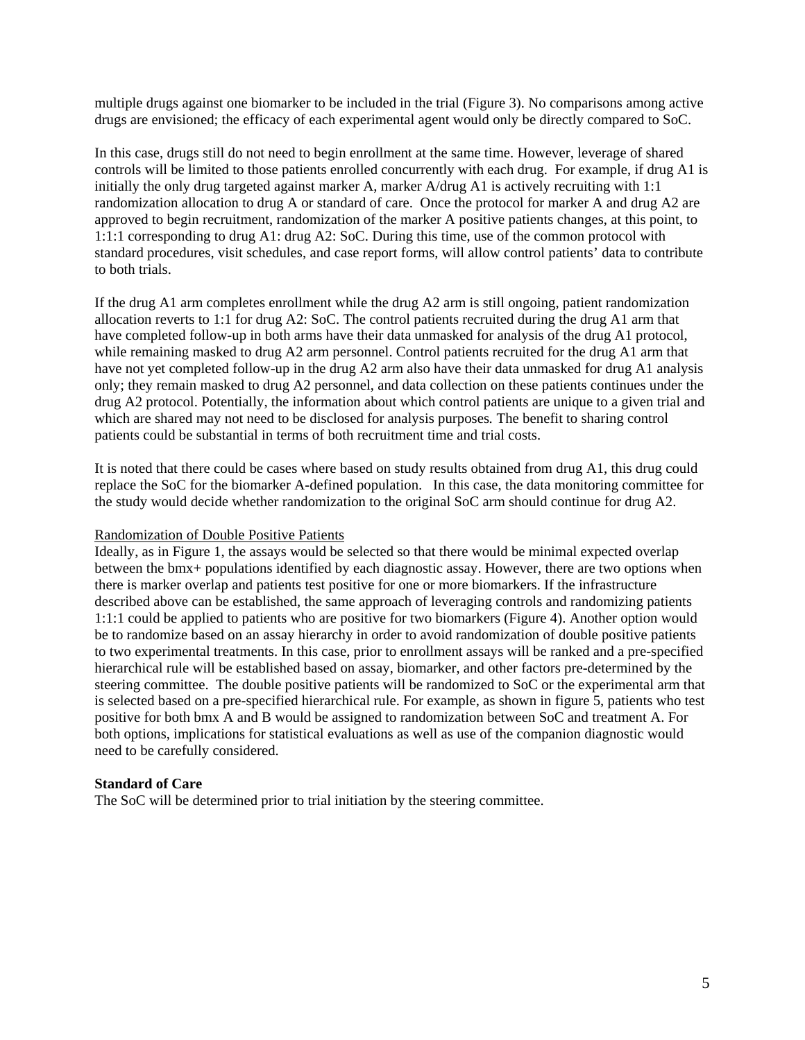multiple drugs against one biomarker to be included in the trial (Figure 3). No comparisons among active drugs are envisioned; the efficacy of each experimental agent would only be directly compared to SoC.

In this case, drugs still do not need to begin enrollment at the same time. However, leverage of shared controls will be limited to those patients enrolled concurrently with each drug. For example, if drug A1 is initially the only drug targeted against marker A, marker  $A/dr \leq A/$  is actively recruiting with 1:1 randomization allocation to drug A or standard of care. Once the protocol for marker A and drug A2 are approved to begin recruitment, randomization of the marker A positive patients changes, at this point, to 1:1:1 corresponding to drug A1: drug A2: SoC. During this time, use of the common protocol with standard procedures, visit schedules, and case report forms, will allow control patients' data to contribute to both trials.

If the drug A1 arm completes enrollment while the drug A2 arm is still ongoing, patient randomization allocation reverts to 1:1 for drug A2: SoC. The control patients recruited during the drug A1 arm that have completed follow-up in both arms have their data unmasked for analysis of the drug A1 protocol, while remaining masked to drug A2 arm personnel. Control patients recruited for the drug A1 arm that have not yet completed follow-up in the drug A2 arm also have their data unmasked for drug A1 analysis only; they remain masked to drug A2 personnel, and data collection on these patients continues under the drug A2 protocol. Potentially, the information about which control patients are unique to a given trial and which are shared may not need to be disclosed for analysis purposes*.* The benefit to sharing control patients could be substantial in terms of both recruitment time and trial costs.

It is noted that there could be cases where based on study results obtained from drug A1, this drug could replace the SoC for the biomarker A-defined population. In this case, the data monitoring committee for the study would decide whether randomization to the original SoC arm should continue for drug A2.

#### Randomization of Double Positive Patients

Ideally, as in Figure 1, the assays would be selected so that there would be minimal expected overlap between the bmx+ populations identified by each diagnostic assay. However, there are two options when there is marker overlap and patients test positive for one or more biomarkers. If the infrastructure described above can be established, the same approach of leveraging controls and randomizing patients 1:1:1 could be applied to patients who are positive for two biomarkers (Figure 4). Another option would be to randomize based on an assay hierarchy in order to avoid randomization of double positive patients to two experimental treatments. In this case, prior to enrollment assays will be ranked and a pre-specified hierarchical rule will be established based on assay, biomarker, and other factors pre-determined by the steering committee. The double positive patients will be randomized to SoC or the experimental arm that is selected based on a pre-specified hierarchical rule. For example, as shown in figure 5, patients who test positive for both bmx A and B would be assigned to randomization between SoC and treatment A. For both options, implications for statistical evaluations as well as use of the companion diagnostic would need to be carefully considered.

#### **Standard of Care**

The SoC will be determined prior to trial initiation by the steering committee.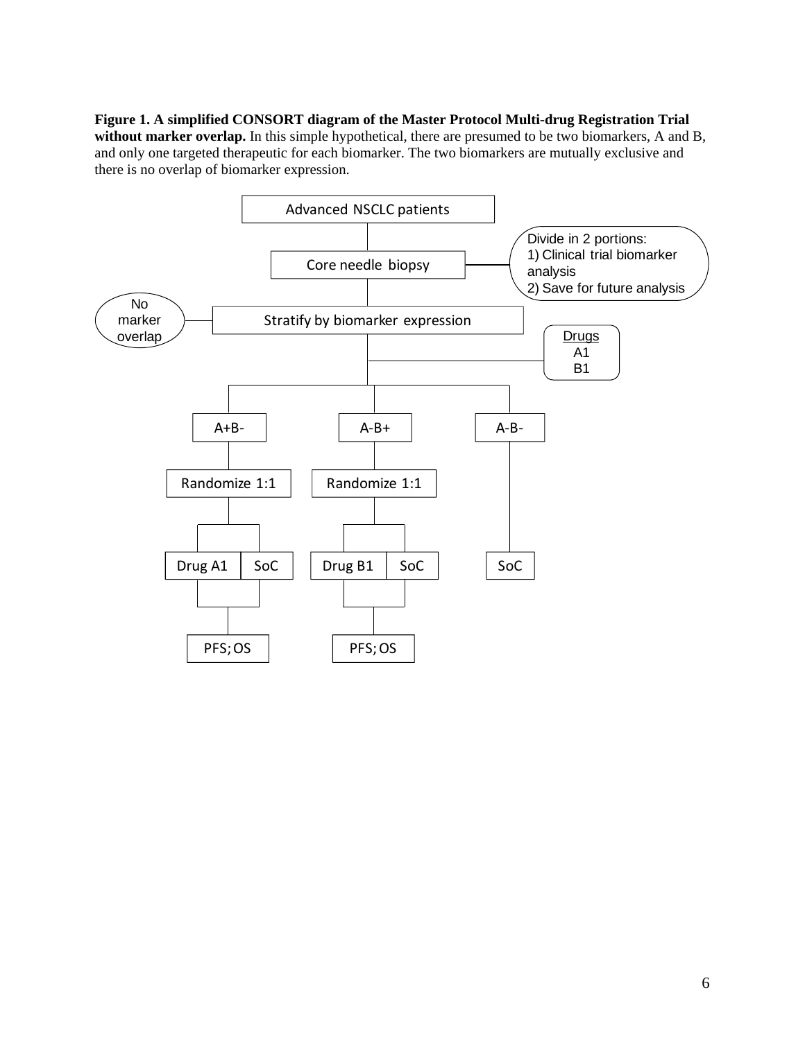**Figure 1. A simplified CONSORT diagram of the Master Protocol Multi-drug Registration Trial without marker overlap.** In this simple hypothetical, there are presumed to be two biomarkers, A and B, and only one targeted therapeutic for each biomarker. The two biomarkers are mutually exclusive and there is no overlap of biomarker expression.

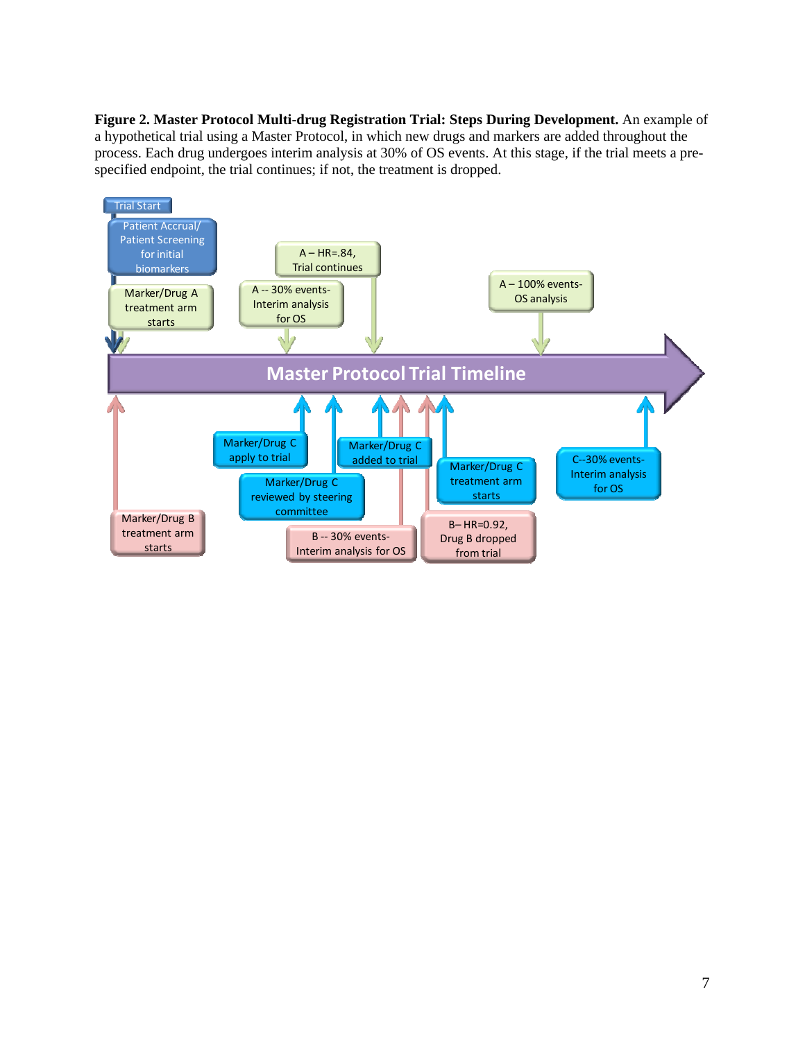**Figure 2. Master Protocol Multi-drug Registration Trial: Steps During Development.** An example of a hypothetical trial using a Master Protocol, in which new drugs and markers are added throughout the process. Each drug undergoes interim analysis at 30% of OS events. At this stage, if the trial meets a prespecified endpoint, the trial continues; if not, the treatment is dropped.

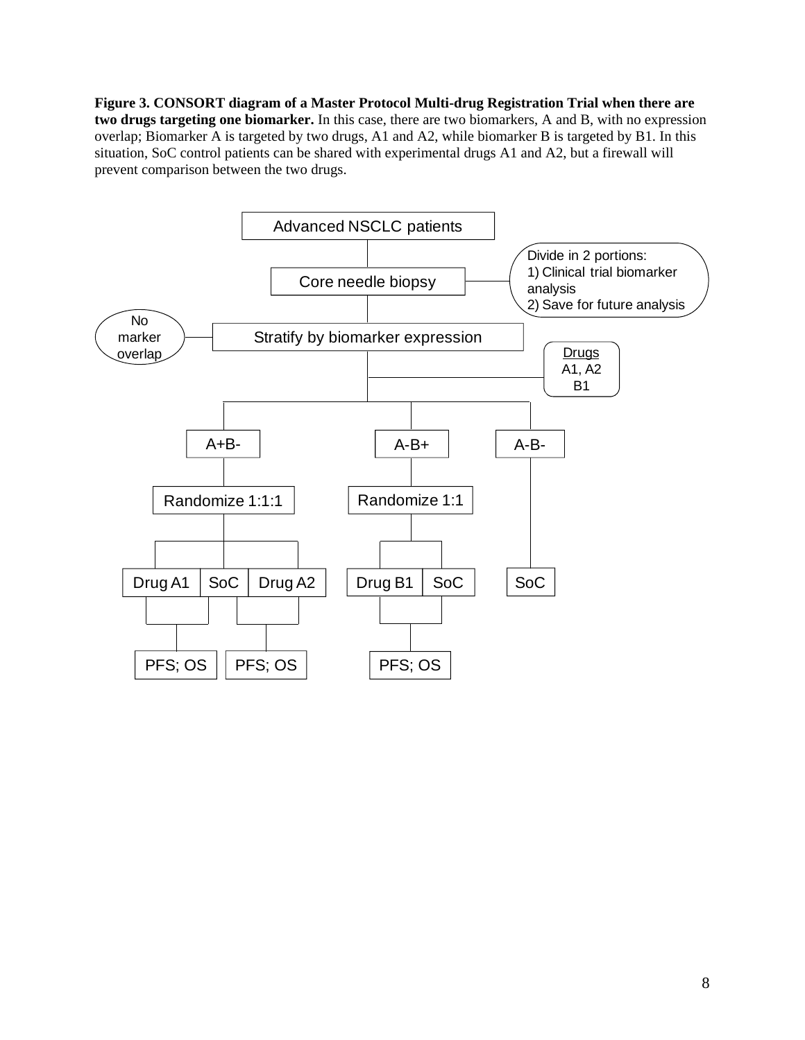**Figure 3. CONSORT diagram of a Master Protocol Multi-drug Registration Trial when there are two drugs targeting one biomarker.** In this case, there are two biomarkers, A and B, with no expression overlap; Biomarker A is targeted by two drugs, A1 and A2, while biomarker B is targeted by B1. In this situation, SoC control patients can be shared with experimental drugs A1 and A2, but a firewall will prevent comparison between the two drugs.

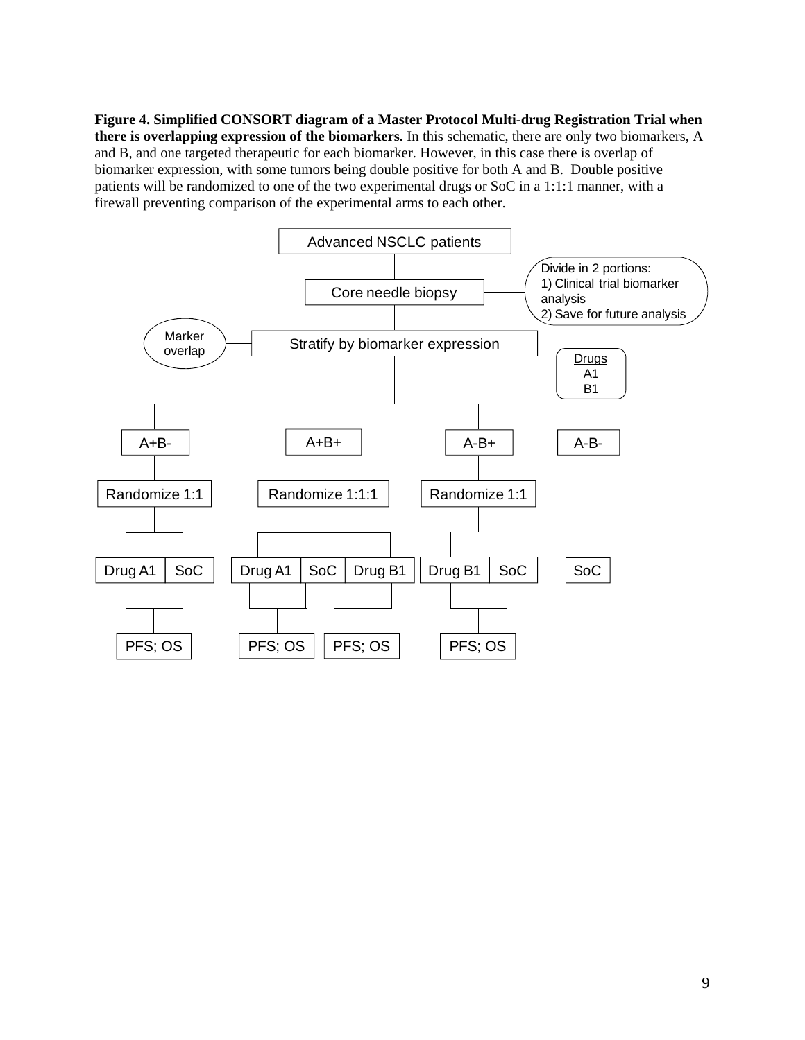**Figure 4. Simplified CONSORT diagram of a Master Protocol Multi-drug Registration Trial when there is overlapping expression of the biomarkers.** In this schematic, there are only two biomarkers, A and B, and one targeted therapeutic for each biomarker. However, in this case there is overlap of biomarker expression, with some tumors being double positive for both A and B. Double positive patients will be randomized to one of the two experimental drugs or SoC in a 1:1:1 manner, with a firewall preventing comparison of the experimental arms to each other.

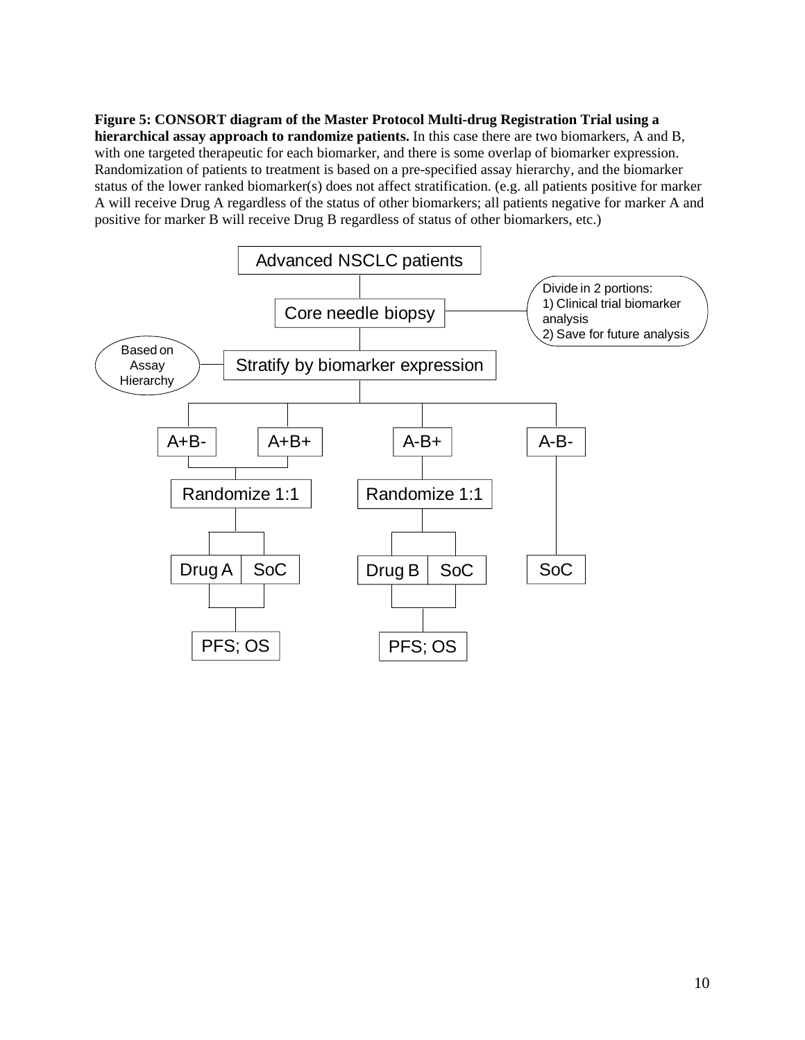**Figure 5: CONSORT diagram of the Master Protocol Multi-drug Registration Trial using a hierarchical assay approach to randomize patients.** In this case there are two biomarkers, A and B, with one targeted therapeutic for each biomarker, and there is some overlap of biomarker expression. Randomization of patients to treatment is based on a pre-specified assay hierarchy, and the biomarker status of the lower ranked biomarker(s) does not affect stratification. (e.g. all patients positive for marker A will receive Drug A regardless of the status of other biomarkers; all patients negative for marker A and positive for marker B will receive Drug B regardless of status of other biomarkers, etc.)